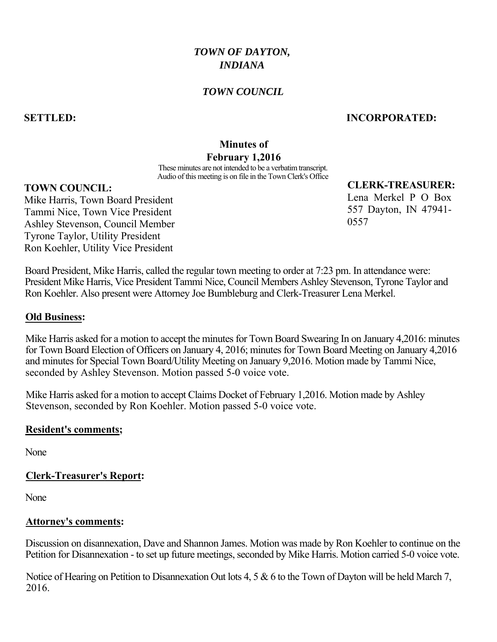# *TOWN OF DAYTON, INDIANA*

### *TOWN COUNCIL*

### **SETTLED: INCORPORATED:**

### **Minutes of**

### **February 1,2016**

These minutes are not intended to be a verbatim transcript. Audio of this meeting is on file in the Town Clerk's Office

# **TOWN COUNCIL:**

Mike Harris, Town Board President Tammi Nice, Town Vice President Ashley Stevenson, Council Member Tyrone Taylor, Utility President Ron Koehler, Utility Vice President **CLERK-TREASURER:**

Lena Merkel P O Box 557 Dayton, IN 47941- 0557

Board President, Mike Harris, called the regular town meeting to order at 7:23 pm. In attendance were: President Mike Harris, Vice President Tammi Nice, Council Members Ashley Stevenson, Tyrone Taylor and Ron Koehler. Also present were Attorney Joe Bumbleburg and Clerk-Treasurer Lena Merkel.

#### **Old Business:**

Mike Harris asked for a motion to accept the minutes for Town Board Swearing In on January 4,2016: minutes for Town Board Election of Officers on January 4, 2016; minutes for Town Board Meeting on January 4,2016 and minutes for Special Town Board/Utility Meeting on January 9,2016. Motion made by Tammi Nice, seconded by Ashley Stevenson. Motion passed 5-0 voice vote.

Mike Harris asked for a motion to accept Claims Docket of February 1,2016. Motion made by Ashley Stevenson, seconded by Ron Koehler. Motion passed 5-0 voice vote.

#### **Resident's comments;**

None

#### **Clerk-Treasurer's Report:**

None

#### **Attorney's comments:**

Discussion on disannexation, Dave and Shannon James. Motion was made by Ron Koehler to continue on the Petition for Disannexation - to set up future meetings, seconded by Mike Harris. Motion carried 5-0 voice vote.

Notice of Hearing on Petition to Disannexation Out lots 4, 5 & 6 to the Town of Dayton will be held March 7, 2016.